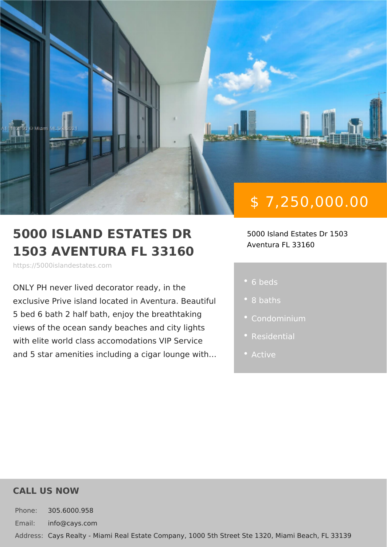# \$ 7,250,000.00

5000 ISLAND ESTATES DR 5000 Island Estates Dr 1503 1503 AVENTURA FL 33160 Aventura FL 33160

https://5000islandestates.com

ONLY PH never lived decorator ready, i exclusive Prive island located in Aventu  $5$  bed 6 bath 2 half bath, enjoy the brea views of the ocean sandy beaches and of with elite world class accomodations VI and 5 star amenities including a cigar I 6 beds

- 8 baths
- 
- 
- 

### CALL US NOW

Phone: 305.6000.958 Email: info@cays.com Addres Cays Realty - Miami Real Estate Company, 1000 5th Street Ste 1320, Mia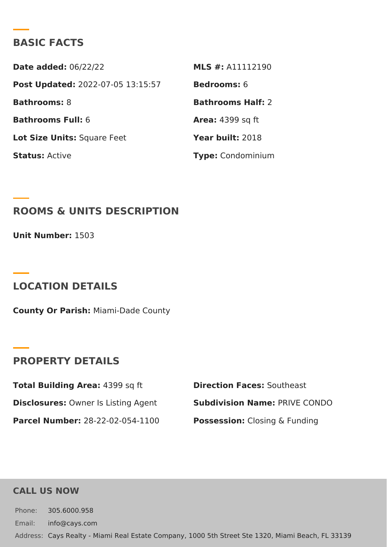## BASIC FACTS

Date added: 6/22/22 MLS #: A11112190 Post Update @022-07-05 13:15:57Bedrooms6 Bathrooms8 Bathrooms Half: Bathrooms Fu6I: Area: 4399 sq ft Lot Size Unifsquare Feet Year buil 2:018 StatusActive Type Condominium

ROOMS & UNITS DESCRIPTION

Unit Number: 503

LOCATION DETAILS

County Or Paris/liami-Dade County

PROPERTY DETAILS

Total Building Ar483a99 sq ft Direction FaceSocutheast Disclosure ©:wner Is Listing Agen Subdivision NamPeRIVE CONDO Parcel Numbe28-22-02-054-1100 PossessionC:losing & Funding

CALL US NOW

Phone: 305.6000.958 Email: info@cays.com Addres Cays Realty - Miami Real Estate Company, 1000 5th Street Ste 1320, Mia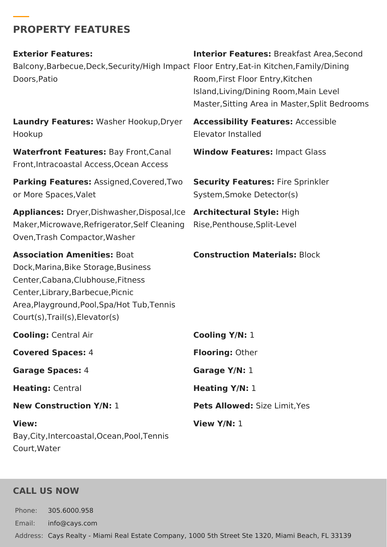## **PROPERTY FEATURES**

**Exterior Features:** Balcony,Barbecue,Deck,Security/High Impact Floor Entry,Eat-in Kitchen,Family/Dining Doors,Patio

**Interior Features:** Breakfast Area,Second Room,First Floor Entry,Kitchen Island,Living/Dining Room,Main Level Master,Sitting Area in Master,Split Bedrooms

**Laundry Features:** Washer Hookup,Dryer Hookup

**Waterfront Features:** Bay Front,Canal Front,Intracoastal Access,Ocean Access

**Parking Features:** Assigned,Covered,Two or More Spaces,Valet

**Appliances:** Dryer,Dishwasher,Disposal,Ice **Architectural Style:** High Maker,Microwave,Refrigerator,Self Cleaning Rise,Penthouse,Split-Level Oven,Trash Compactor,Washer

**Association Amenities:** Boat Dock,Marina,Bike Storage,Business Center,Cabana,Clubhouse,Fitness Center,Library,Barbecue,Picnic Area,Playground,Pool,Spa/Hot Tub,Tennis Court(s),Trail(s),Elevator(s)

**Cooling:** Central Air **Cooling Y/N:** 1 **Covered Spaces:** 4 **Flooring:** Other **Garage Spaces:** 4 **Garage Y/N:** 1 **Heating:** Central **Heating Y/N:** 1 **New Construction Y/N:** 1 **Pets Allowed:** Size Limit,Yes **View:** Bay,City,Intercoastal,Ocean,Pool,Tennis **View Y/N:** 1

## **CALL US NOW**

Court,Water

Phone: 305.6000.958 Email: info@cays.com Address: Cays Realty - Miami Real Estate Company, 1000 5th Street Ste 1320, Miami Beach, FL 33139

**Accessibility Features:** Accessible Elevator Installed

**Window Features:** Impact Glass

**Security Features:** Fire Sprinkler System,Smoke Detector(s)

#### **Construction Materials:** Block